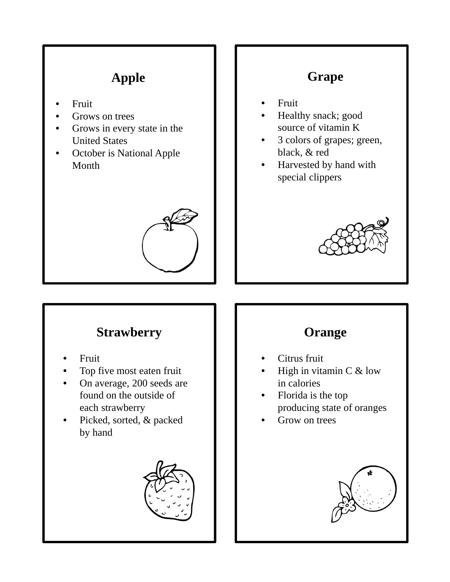# **Apple**

- **Fruit**
- Grows on trees
- Grows in every state in the United States
- October is National Apple Month



## **Grape**

- Fruit
- Healthy snack; good source of vitamin K
- 3 colors of grapes; green, black, & red
- Harvested by hand with special clippers



## **Strawberry**

- Fruit
- Top five most eaten fruit
- On average, 200 seeds are found on the outside of each strawberry
- Picked, sorted, & packed by hand



# **Orange**

- Citrus fruit
- High in vitamin  $C$  & low in calories
- Florida is the top producing state of oranges
- Grow on trees

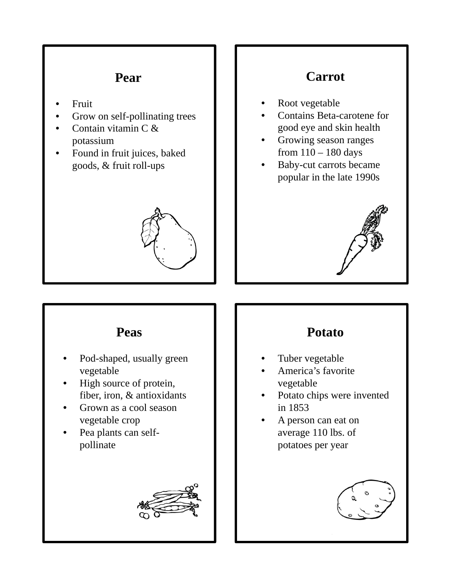#### **Pear**

- Fruit
- Grow on self-pollinating trees
- Contain vitamin C & potassium
- Found in fruit juices, baked goods, & fruit roll-ups



### **Carrot**

- Root vegetable
- Contains Beta-carotene for good eye and skin health
- Growing season ranges from 110 – 180 days
- Baby-cut carrots became popular in the late 1990s



#### **Peas**

- Pod-shaped, usually green vegetable
- High source of protein, fiber, iron, & antioxidants
- Grown as a cool season vegetable crop
- Pea plants can selfpollinate



### **Potato**

- Tuber vegetable
- America's favorite vegetable
- Potato chips were invented in 1853
- A person can eat on average 110 lbs. of potatoes per year

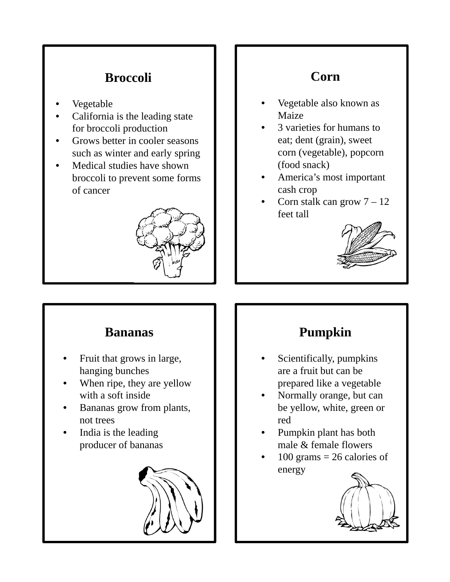## **Broccoli**

- **Vegetable**
- California is the leading state for broccoli production
- Grows better in cooler seasons such as winter and early spring
- Medical studies have shown broccoli to prevent some forms of cancer



## **Corn**

- Vegetable also known as Maize
- 3 varieties for humans to eat; dent (grain), sweet corn (vegetable), popcorn (food snack)
- America's most important cash crop
- Corn stalk can grow  $7 12$ feet tall



#### **Bananas**

- Fruit that grows in large, hanging bunches
- When ripe, they are yellow with a soft inside
- Bananas grow from plants, not trees
- India is the leading producer of bananas



# **Pumpkin**

- Scientifically, pumpkins are a fruit but can be prepared like a vegetable
- Normally orange, but can be yellow, white, green or red
- Pumpkin plant has both male & female flowers
- $100$  grams = 26 calories of energy

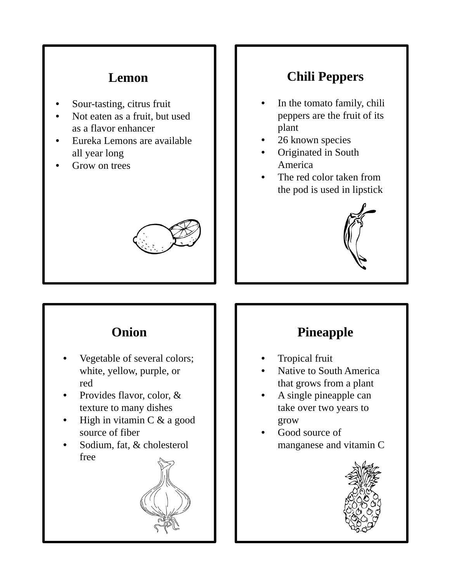### **Lemon**

- Sour-tasting, citrus fruit
- Not eaten as a fruit, but used as a flavor enhancer
- Eureka Lemons are available all year long
- Grow on trees



### **Chili Peppers**

- In the tomato family, chili peppers are the fruit of its plant
- 26 known species
- Originated in South America
- The red color taken from the pod is used in lipstick



### **Onion**

- Vegetable of several colors; white, yellow, purple, or red
- Provides flavor, color, & texture to many dishes
- High in vitamin  $C \& a \text{ good}$ source of fiber
- Sodium, fat, & cholesterol free



## **Pineapple**

- Tropical fruit
- Native to South America that grows from a plant
- A single pineapple can take over two years to grow
- Good source of manganese and vitamin C

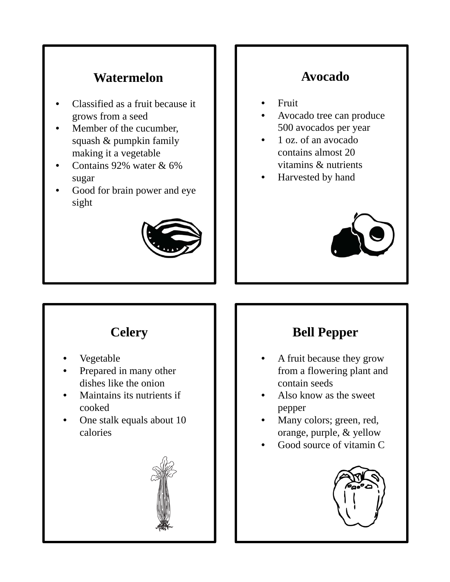#### **Watermelon**

- Classified as a fruit because it grows from a seed
- Member of the cucumber, squash & pumpkin family making it a vegetable
- Contains 92% water & 6% sugar
- Good for brain power and eye sight



### **Avocado**

- Fruit
- Avocado tree can produce 500 avocados per year
- 1 oz. of an avocado contains almost 20 vitamins & nutrients
- Harvested by hand



## **Celery**

- Vegetable
- Prepared in many other dishes like the onion
- Maintains its nutrients if cooked
- One stalk equals about 10 calories



## **Bell Pepper**

- A fruit because they grow from a flowering plant and contain seeds
- Also know as the sweet pepper
- Many colors; green, red, orange, purple, & yellow
- Good source of vitamin C